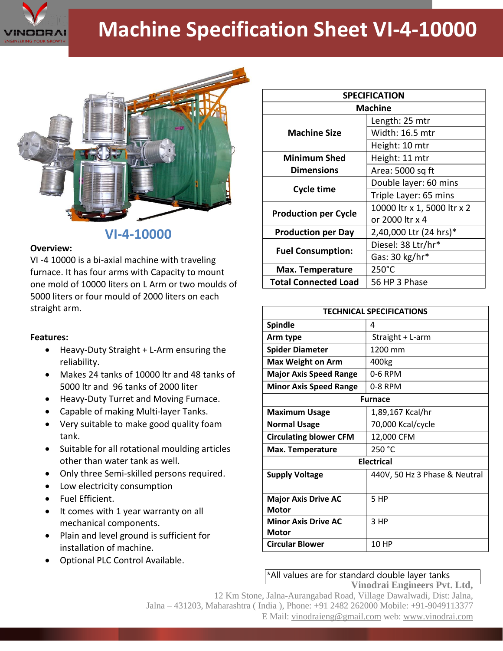

## **Machine Specification Sheet VI-4-10000**



## **VI-4-10000**

## **Overview:**

VI -4 10000 is a bi-axial machine with traveling furnace. It has four arms with Capacity to mount one mold of 10000 liters on L Arm or two moulds of 5000 liters or four mould of 2000 liters on each straight arm.

## **Features:**

- Heavy-Duty Straight + L-Arm ensuring the reliability.
- Makes 24 tanks of 10000 ltr and 48 tanks of 5000 ltr and 96 tanks of 2000 liter
- Heavy-Duty Turret and Moving Furnace.
- Capable of making Multi-layer Tanks.
- Very suitable to make good quality foam tank.
- Suitable for all rotational moulding articles other than water tank as well.
- Only three Semi-skilled persons required.
- Low electricity consumption
- Fuel Efficient.
- It comes with 1 year warranty on all mechanical components.
- Plain and level ground is sufficient for installation of machine.
- Optional PLC Control Available.

| <b>SPECIFICATION</b>        |                             |
|-----------------------------|-----------------------------|
| <b>Machine</b>              |                             |
| <b>Machine Size</b>         | Length: 25 mtr              |
|                             | Width: 16.5 mtr             |
|                             | Height: 10 mtr              |
| <b>Minimum Shed</b>         | Height: 11 mtr              |
| <b>Dimensions</b>           | Area: 5000 sq ft            |
| <b>Cycle time</b>           | Double layer: 60 mins       |
|                             | Triple Layer: 65 mins       |
| <b>Production per Cycle</b> | 10000 ltr x 1, 5000 ltr x 2 |
|                             | or 2000 ltr x 4             |
| <b>Production per Day</b>   | 2,40,000 Ltr (24 hrs)*      |
| <b>Fuel Consumption:</b>    | Diesel: 38 Ltr/hr*          |
|                             | Gas: 30 kg/hr*              |
| <b>Max. Temperature</b>     | 250°C                       |
| <b>Total Connected Load</b> | 56 HP 3 Phase               |

| <b>TECHNICAL SPECIFICATIONS</b>            |                               |
|--------------------------------------------|-------------------------------|
| <b>Spindle</b>                             | 4                             |
| Arm type                                   | Straight + L-arm              |
| <b>Spider Diameter</b>                     | 1200 mm                       |
| <b>Max Weight on Arm</b>                   | 400kg                         |
| <b>Major Axis Speed Range</b>              | 0-6 RPM                       |
| <b>Minor Axis Speed Range</b>              | 0-8 RPM                       |
| <b>Furnace</b>                             |                               |
| <b>Maximum Usage</b>                       | 1,89,167 Kcal/hr              |
| <b>Normal Usage</b>                        | 70,000 Kcal/cycle             |
| <b>Circulating blower CFM</b>              | 12,000 CFM                    |
| Max. Temperature                           | 250 °C                        |
| <b>Electrical</b>                          |                               |
| <b>Supply Voltage</b>                      | 440V, 50 Hz 3 Phase & Neutral |
| <b>Major Axis Drive AC</b><br><b>Motor</b> | 5 HP                          |
| <b>Minor Axis Drive AC</b><br>Motor        | 3 HP                          |
| <b>Circular Blower</b>                     | 10 HP                         |

**Vinodrai Engineers Pvt. Ltd,** \*All values are for standard double layer tanks

12 Km Stone, Jalna-Aurangabad Road, Village Dawalwadi, Dist: Jalna, Jalna – 431203, Maharashtra ( India ), Phone: +91 2482 262000 Mobile: +91-9049113377 E Mail: vinodraieng@gmail.com web: www.vinodrai.com